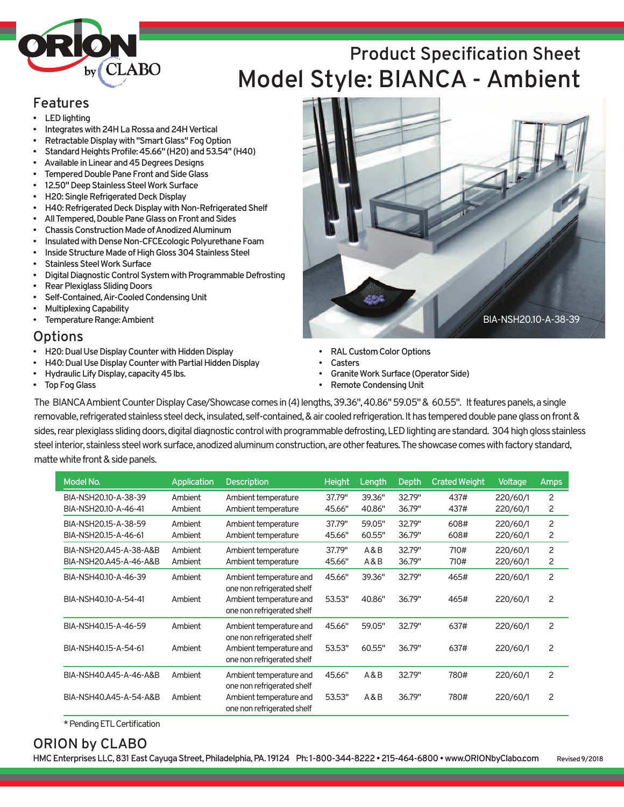

#### **Features**

- **LEDlighting**
- **Integrateswith24HLaRossaand24HVertical**
- **Retractable Display with "Smart Glass" Fog Option**
- **StandardHeightsProfile:45.66" (H20)and53.54" (H40)**
- Available in Linear and 45 Degrees Designs
- **Tempered Double Pane Front and Side Glass**
- 12.50" Deep Stainless Steel Work Surface
- **H20: Single Refrigerated Deck Display**
- **H40: Refrigerated Deck Display with Non-Refrigerated Shelf**
- **All Tempered, Double Pane Glass on Front and Sides**
- **Chassis Construction Made of Anodized Aluminum**
- **Insulated with Dense Non-CFCEcologic Polyurethane Foam**
- **Inside Structure Made of High Gloss 304 Stainless Steel**
- **Stainless Steel Work Surface**
- **Digital Diagnostic Control System with Programmable Defrosting**
- **Rear Plexiglass Sliding Doors**
- **Self-Contained,Air-CooledCondensingUnit**
- **MultiplexingCapability**
- **Femperature Range: Ambient**

#### **Options**

- **H20: Dual Use Display Counter with Hidden Display**
- **H40: Dual Use Display Counter with Partial Hidden Display**
- **Hydraulic Lify Display, capacity 45 lbs.**
- **Top Fog Glass**
- **RALCustomColorOptions**
- **Casters**
- **Granite Work Surface (Operator Side)**
- **Remote Condensing Unit**

The BIANCA Ambient Counter Display Case/Showcase comes in (4) lengths, 39.36", 40.86" 59.05" & 60.55". It features panels, a single removable, refrigerated stainless steel deck, insulated, self-contained, & air cooled refrigeration. It has tempered double pane glass on front & sides, rear plexiglass sliding doors, digital diagnostic control with programmable defrosting, LED lighting are standard. 304 high gloss stainless steel interior, stainless steel work surface, anodized aluminum construction, are other features. The showcase comes with factory standard, matte white front & side panels.

| Model No.              | <b>Application</b> | <b>Description</b>                                    | <b>Height</b> | Length | <b>Depth</b> | <b>Crated Weight</b> | <b>Voltage</b> | Amps |
|------------------------|--------------------|-------------------------------------------------------|---------------|--------|--------------|----------------------|----------------|------|
| BIA-NSH20.10-A-38-39   | Ambient            | Ambient temperature                                   | 37.79"        | 39.36" | 32.79"       | 437#                 | 220/60/1       | 2    |
| BIA-NSH20.10-A-46-41   | Ambient            | Ambient temperature                                   | 45.66"        | 40.86" | 36.79"       | 437#                 | 220/60/1       | 2    |
| BIA-NSH20.15-A-38-59   | Ambient            | Ambient temperature                                   | 37.79"        | 59.05" | 32.79"       | 608#                 | 220/60/1       | 2    |
| BIA-NSH20.15-A-46-61   | Ambient            | Ambient temperature                                   | 45.66"        | 60.55" | 36.79"       | 608#                 | 220/60/1       | 2    |
| BIA-NSH20.A45-A-38-A&B | Ambient            | Ambient temperature                                   | 37.79"        | A&B    | 32.79"       | 710#                 | 220/60/1       | 2    |
| BIA-NSH20,A45-A-46-A&B | Ambient            | Ambient temperature                                   | 45.66"        | A&B    | 36.79"       | 710#                 | 220/60/1       | 2    |
| BIA-NSH40.10-A-46-39   | Ambient            | Ambient temperature and<br>one non refrigerated shelf | 45.66"        | 39.36" | 32.79"       | 465#                 | 220/60/1       | 2    |
| BIA-NSH40.10-A-54-41   | Ambient            | Ambient temperature and<br>one non refrigerated shelf | 53.53"        | 40.86" | 36.79"       | 465#                 | 220/60/1       | 2    |
| BIA-NSH40.15-A-46-59   | Ambient            | Ambient temperature and<br>one non refrigerated shelf | 45.66"        | 59.05" | 32.79"       | 637#                 | 220/60/1       | 2    |
| BIA-NSH40.15-A-54-61   | Ambient            | Ambient temperature and<br>one non refrigerated shelf | 53.53"        | 60.55" | 36.79"       | 637#                 | 220/60/1       | 2    |
| BIA-NSH40.A45-A-46-A&B | Ambient            | Ambient temperature and<br>one non refrigerated shelf | 45.66"        | A&B    | 32.79"       | 780#                 | 220/60/1       | 2    |
| BIA-NSH40.A45-A-54-A&B | Ambient            | Ambient temperature and<br>one non refrigerated shelf | 53.53"        | A&B    | 36.79"       | 780#                 | 220/60/1       | 2    |

\*PendingETLCertification

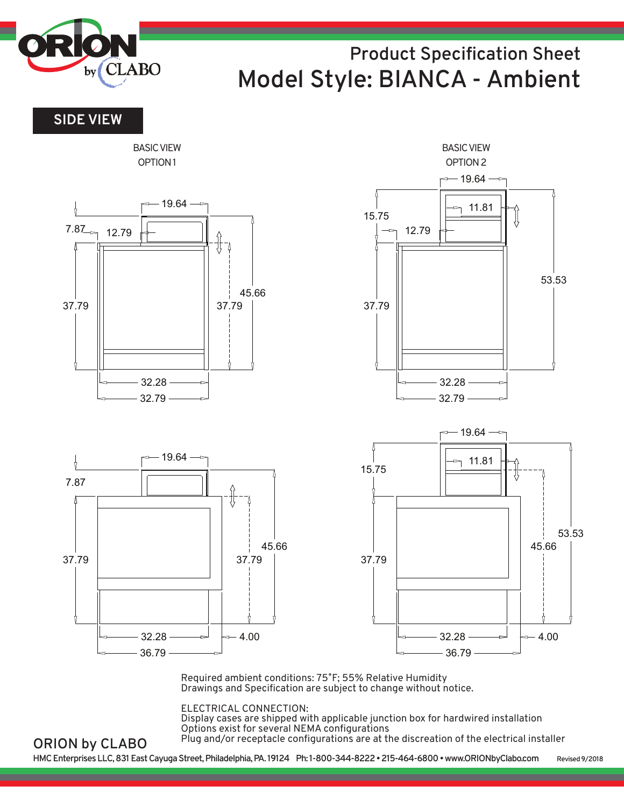

**SIDE VIEW**

**ORION by CLABO**



Required ambient conditions: 75˚F; 55% Relative Humidity Drawings and Specification are subject to change without notice.

ELECTRICAL CONNECTION:

Display cases are shipped with applicable junction box for hardwired installation Options exist for several NEMA configurations Plug and/or receptacle configurations are at the discreation of the electrical installer

**HMCEnterprisesLLC,831EastCayugaStreet,Philadelphia,PA. 19124 Ph: 1-800-344-8222•215-464-6800•www.ORIONbyClabo.com Revised9/2018**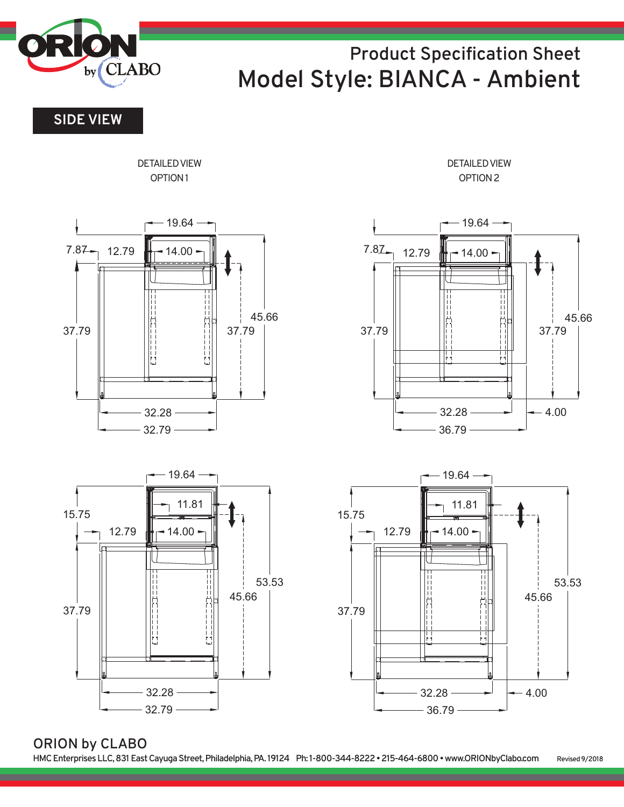

**SIDE VIEW**

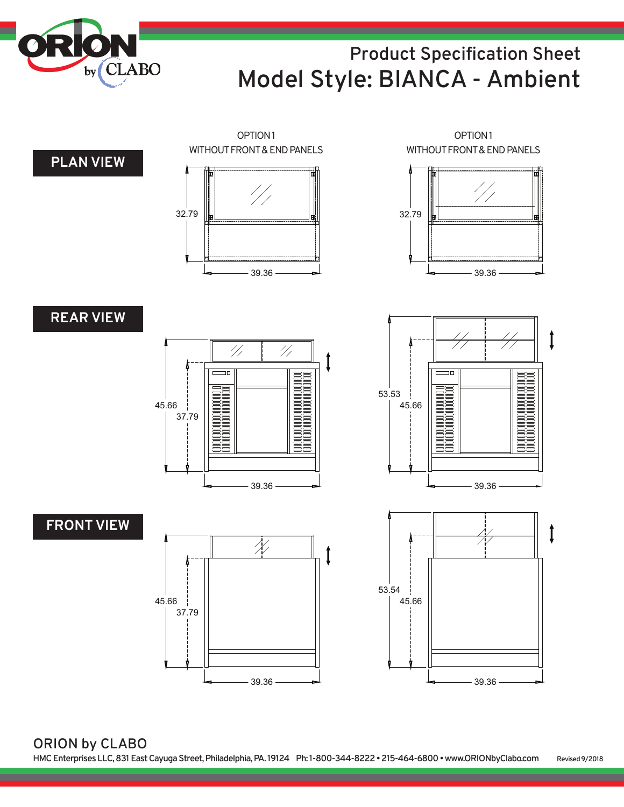



**ORION by CLABO HMCEnterprisesLLC,831EastCayugaStreet,Philadelphia,PA. 19124 Ph: 1-800-344-8222•215-464-6800•www.ORIONbyClabo.com Revised9/2018**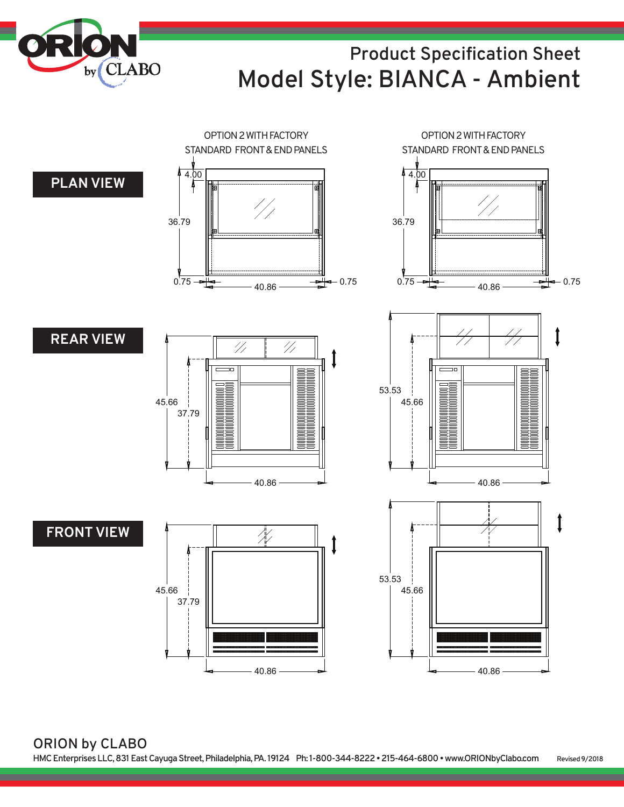

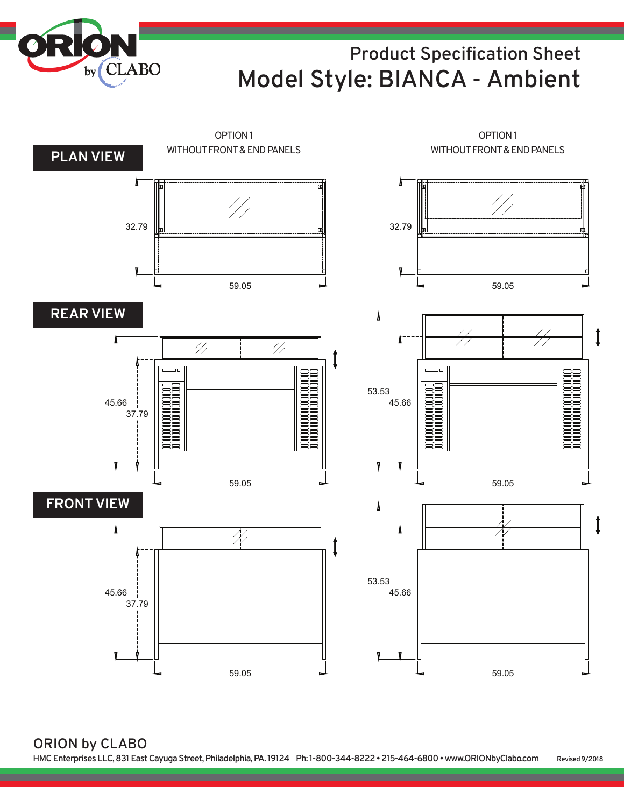



**ORION by CLABO HMCEnterprisesLLC,831EastCayugaStreet,Philadelphia,PA. 19124 Ph: 1-800-344-8222•215-464-6800•www.ORIONbyClabo.com Revised9/2018**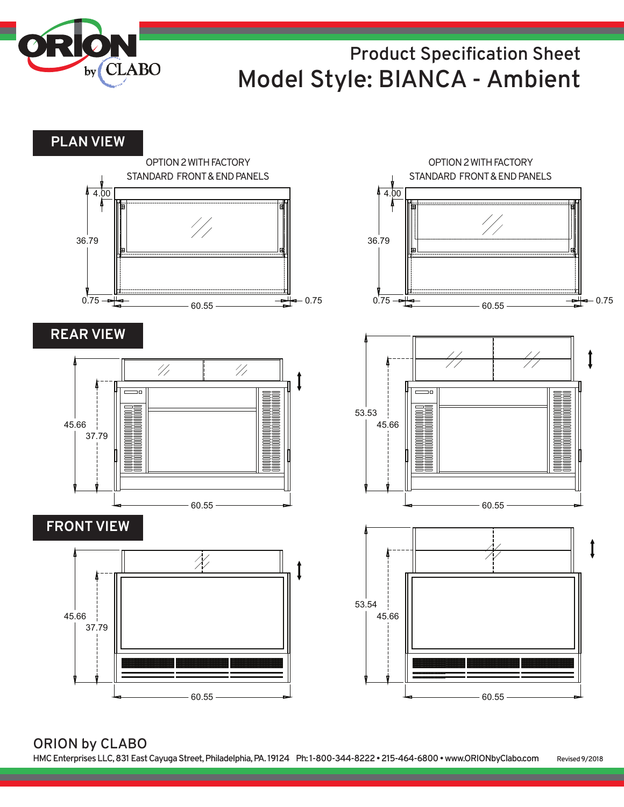

**PLAN VIEW**

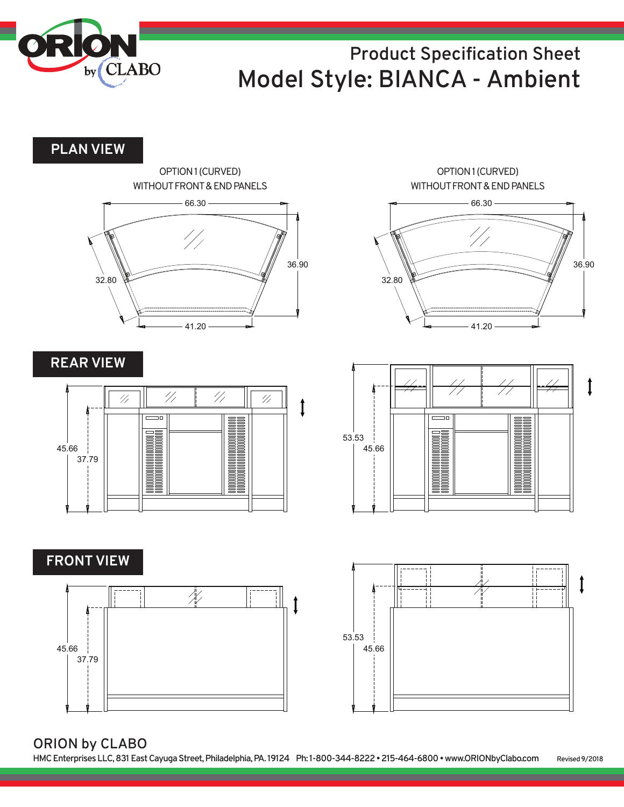

**PLAN VIEW**



**REAR VIEW**



**FRONT VIEW**



66.30 41.20 36.90 32.80 OPTION1(CURVED) WITHOUT FRONT & END PANELS